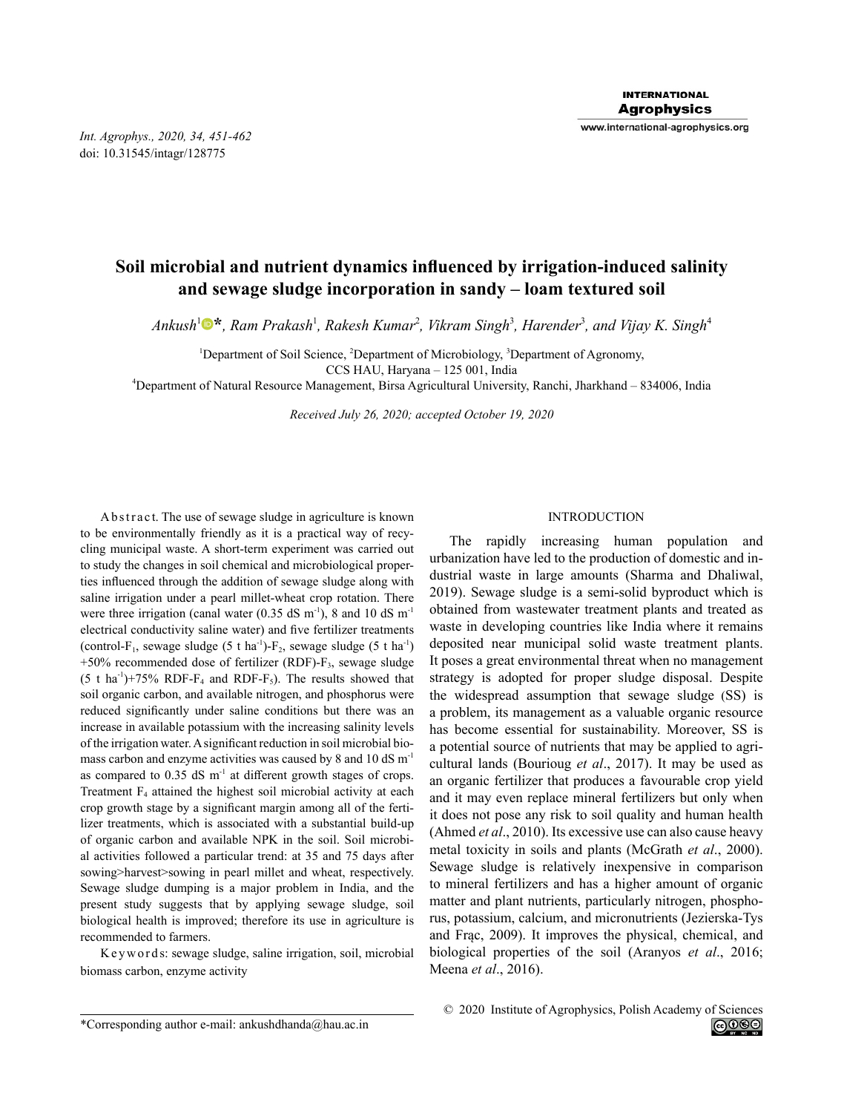*Int. Agrophys., 2020, 34, 451-462* doi: 10.31545/intagr/128775

# **Soil microbial and nutrient dynamics influenced by irrigation-induced salinity and sewage sludge incorporation in sandy – loam textured soil**

 $Ankush<sup>1</sup>$ <sup>®</sup>, Ram Prakash<sup>1</sup>, Rakesh Kumar<sup>2</sup>, Vikram Singh<sup>3</sup>, Harender<sup>3</sup>, and Vijay K. Singh<sup>4</sup>

<sup>1</sup>Department of Soil Science, <sup>2</sup>Department of Microbiology, <sup>3</sup>Department of Agronomy,

CCS HAU, Haryana – 125 001, India

<sup>4</sup>Department of Natural Resource Management, Birsa Agricultural University, Ranchi, Jharkhand – 834006, India

*Received July 26, 2020; accepted October 19, 2020*

Ab stract. The use of sewage sludge in agriculture is known to be environmentally friendly as it is a practical way of recycling municipal waste. A short-term experiment was carried out to study the changes in soil chemical and microbiological properties influenced through the addition of sewage sludge along with saline irrigation under a pearl millet-wheat crop rotation. There were three irrigation (canal water  $(0.35 \text{ dS m}^{-1})$ , 8 and 10 dS m<sup>-1</sup> electrical conductivity saline water) and five fertilizer treatments (control-F<sub>1</sub>, sewage sludge  $(5 \t{ t} \text{ ha}^{-1})$ -F<sub>2</sub>, sewage sludge  $(5 \t{ t} \text{ ha}^{-1})$  $+50\%$  recommended dose of fertilizer (RDF)- $F_3$ , sewage sludge  $(5 \text{ t ha}^{-1})+75\% \text{ RDF-F}_4$  and RDF-F<sub>5</sub>). The results showed that soil organic carbon, and available nitrogen, and phosphorus were reduced significantly under saline conditions but there was an increase in available potassium with the increasing salinity levels of the irrigation water. A significant reduction in soil microbial biomass carbon and enzyme activities was caused by 8 and 10 dS m<sup>-1</sup> as compared to  $0.35$  dS m<sup>-1</sup> at different growth stages of crops. Treatment  $F_4$  attained the highest soil microbial activity at each crop growth stage by a significant margin among all of the fertilizer treatments, which is associated with a substantial build-up of organic carbon and available NPK in the soil. Soil microbial activities followed a particular trend: at 35 and 75 days after sowing>harvest>sowing in pearl millet and wheat, respectively. Sewage sludge dumping is a major problem in India, and the present study suggests that by applying sewage sludge, soil biological health is improved; therefore its use in agriculture is recommended to farmers.

K e y w o r d s: sewage sludge, saline irrigation, soil, microbial biomass carbon, enzyme activity

## INTRODUCTION

The rapidly increasing human population and urbanization have led to the production of domestic and industrial waste in large amounts (Sharma and Dhaliwal, 2019). Sewage sludge is a semi-solid byproduct which is obtained from wastewater treatment plants and treated as waste in developing countries like India where it remains deposited near municipal solid waste treatment plants. It poses a great environmental threat when no management strategy is adopted for proper sludge disposal. Despite the widespread assumption that sewage sludge (SS) is a problem, its management as a valuable organic resource has become essential for sustainability. Moreover, SS is a potential source of nutrients that may be applied to agricultural lands (Bourioug *et al*., 2017). It may be used as an organic fertilizer that produces a favourable crop yield and it may even replace mineral fertilizers but only when it does not pose any risk to soil quality and human health (Ahmed *et al*., 2010). Its excessive use can also cause heavy metal toxicity in soils and plants (McGrath *et al*., 2000). Sewage sludge is relatively inexpensive in comparison to mineral fertilizers and has a higher amount of organic matter and plant nutrients, particularly nitrogen, phosphorus, potassium, calcium, and micronutrients (Jezierska-Tys and Frąc, 2009). It improves the physical, chemical, and biological properties of the soil (Aranyos *et al*., 2016; Meena *et al*., 2016).

<sup>\*</sup>Corresponding author e-mail: ankushdhanda@hau.ac.in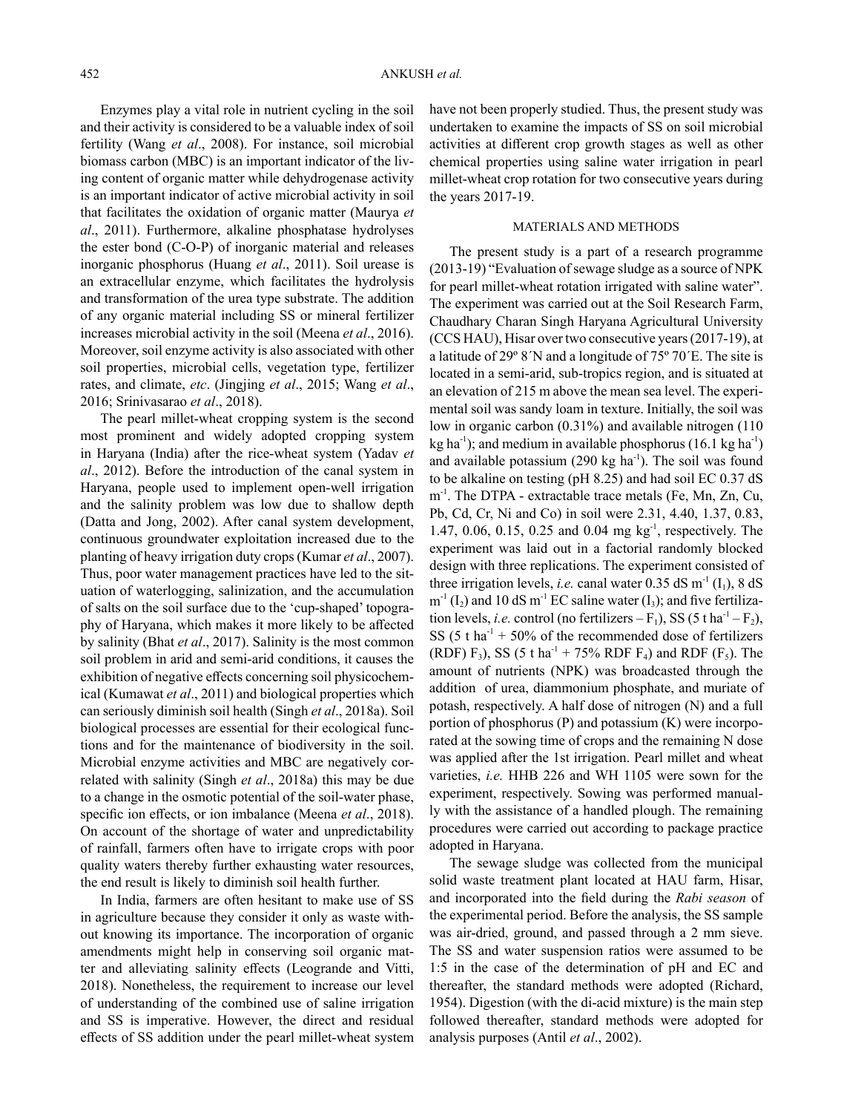Enzymes play a vital role in nutrient cycling in the soil and their activity is considered to be a valuable index of soil fertility (Wang *et al*., 2008). For instance, soil microbial biomass carbon (MBC) is an important indicator of the living content of organic matter while dehydrogenase activity is an important indicator of active microbial activity in soil that facilitates the oxidation of organic matter (Maurya *et al*., 2011). Furthermore, alkaline phosphatase hydrolyses the ester bond (C-O-P) of inorganic material and releases inorganic phosphorus (Huang *et al*., 2011). Soil urease is an extracellular enzyme, which facilitates the hydrolysis and transformation of the urea type substrate. The addition of any organic material including SS or mineral fertilizer increases microbial activity in the soil (Meena *et al*., 2016). Moreover, soil enzyme activity is also associated with other soil properties, microbial cells, vegetation type, fertilizer rates, and climate, *etc*. (Jingjing *et al*., 2015; Wang *et al*., 2016; Srinivasarao *et al*., 2018).

The pearl millet-wheat cropping system is the second most prominent and widely adopted cropping system in Haryana (India) after the rice-wheat system (Yadav *et al*., 2012). Before the introduction of the canal system in Haryana, people used to implement open-well irrigation and the salinity problem was low due to shallow depth (Datta and Jong, 2002). After canal system development, continuous groundwater exploitation increased due to the planting of heavy irrigation duty crops (Kumar *et al*., 2007). Thus, poor water management practices have led to the situation of waterlogging, salinization, and the accumulation of salts on the soil surface due to the 'cup-shaped' topography of Haryana, which makes it more likely to be affected by salinity (Bhat *et al*., 2017). Salinity is the most common soil problem in arid and semi-arid conditions, it causes the exhibition of negative effects concerning soil physicochemical (Kumawat *et al*., 2011) and biological properties which can seriously diminish soil health (Singh *et al*., 2018a). Soil biological processes are essential for their ecological functions and for the maintenance of biodiversity in the soil. Microbial enzyme activities and MBC are negatively correlated with salinity (Singh *et al*., 2018a) this may be due to a change in the osmotic potential of the soil-water phase, specific ion effects, or ion imbalance (Meena *et al*., 2018). On account of the shortage of water and unpredictability of rainfall, farmers often have to irrigate crops with poor quality waters thereby further exhausting water resources, the end result is likely to diminish soil health further.

In India, farmers are often hesitant to make use of SS in agriculture because they consider it only as waste without knowing its importance. The incorporation of organic amendments might help in conserving soil organic matter and alleviating salinity effects (Leogrande and Vitti, 2018). Nonetheless, the requirement to increase our level of understanding of the combined use of saline irrigation and SS is imperative. However, the direct and residual effects of SS addition under the pearl millet-wheat system have not been properly studied. Thus, the present study was undertaken to examine the impacts of SS on soil microbial activities at different crop growth stages as well as other chemical properties using saline water irrigation in pearl millet-wheat crop rotation for two consecutive years during the years 2017-19.

## MATERIALS AND METHODS

The present study is a part of a research programme (2013-19) "Evaluation of sewage sludge as a source of NPK for pearl millet-wheat rotation irrigated with saline water". The experiment was carried out at the Soil Research Farm, Chaudhary Charan Singh Haryana Agricultural University (CCS HAU), Hisar over two consecutive years (2017-19), at a latitude of 29º 8´N and a longitude of 75º 70´E. The site is located in a semi-arid, sub-tropics region, and is situated at an elevation of 215 m above the mean sea level. The experimental soil was sandy loam in texture. Initially, the soil was low in organic carbon (0.31%) and available nitrogen (110) kg ha<sup>-1</sup>); and medium in available phosphorus (16.1 kg ha<sup>-1</sup>) and available potassium  $(290 \text{ kg ha}^{-1})$ . The soil was found to be alkaline on testing (pH 8.25) and had soil EC 0.37 dS m<sup>-1</sup>. The DTPA - extractable trace metals (Fe, Mn, Zn, Cu, Pb, Cd, Cr, Ni and Co) in soil were 2.31, 4.40, 1.37, 0.83, 1.47, 0.06, 0.15, 0.25 and 0.04 mg kg-1, respectively. The experiment was laid out in a factorial randomly blocked design with three replications. The experiment consisted of three irrigation levels, *i.e.* canal water 0.35 dS m<sup>-1</sup> (I<sub>1</sub>), 8 dS  $m^{-1}(I_2)$  and 10 dS m<sup>-1</sup> EC saline water (I<sub>3</sub>); and five fertilization levels, *i.e.* control (no fertilizers  $-F_1$ ), SS (5 t ha<sup>-1</sup> –  $F_2$ ), SS (5 t ha<sup>-1</sup> + 50% of the recommended dose of fertilizers (RDF) F<sub>3</sub>), SS (5 t ha<sup>-1</sup> + 75% RDF F<sub>4</sub>) and RDF (F<sub>5</sub>). The amount of nutrients (NPK) was broadcasted through the addition of urea, diammonium phosphate, and muriate of potash, respectively. A half dose of nitrogen (N) and a full portion of phosphorus (P) and potassium (K) were incorporated at the sowing time of crops and the remaining N dose was applied after the 1st irrigation. Pearl millet and wheat varieties, *i.e.* HHB 226 and WH 1105 were sown for the experiment, respectively. Sowing was performed manually with the assistance of a handled plough. The remaining procedures were carried out according to package practice adopted in Haryana.

The sewage sludge was collected from the municipal solid waste treatment plant located at HAU farm, Hisar, and incorporated into the field during the *Rabi season* of the experimental period. Before the analysis, the SS sample was air-dried, ground, and passed through a 2 mm sieve. The SS and water suspension ratios were assumed to be 1:5 in the case of the determination of pH and EC and thereafter, the standard methods were adopted (Richard, 1954). Digestion (with the di-acid mixture) is the main step followed thereafter, standard methods were adopted for analysis purposes (Antil *et al*., 2002).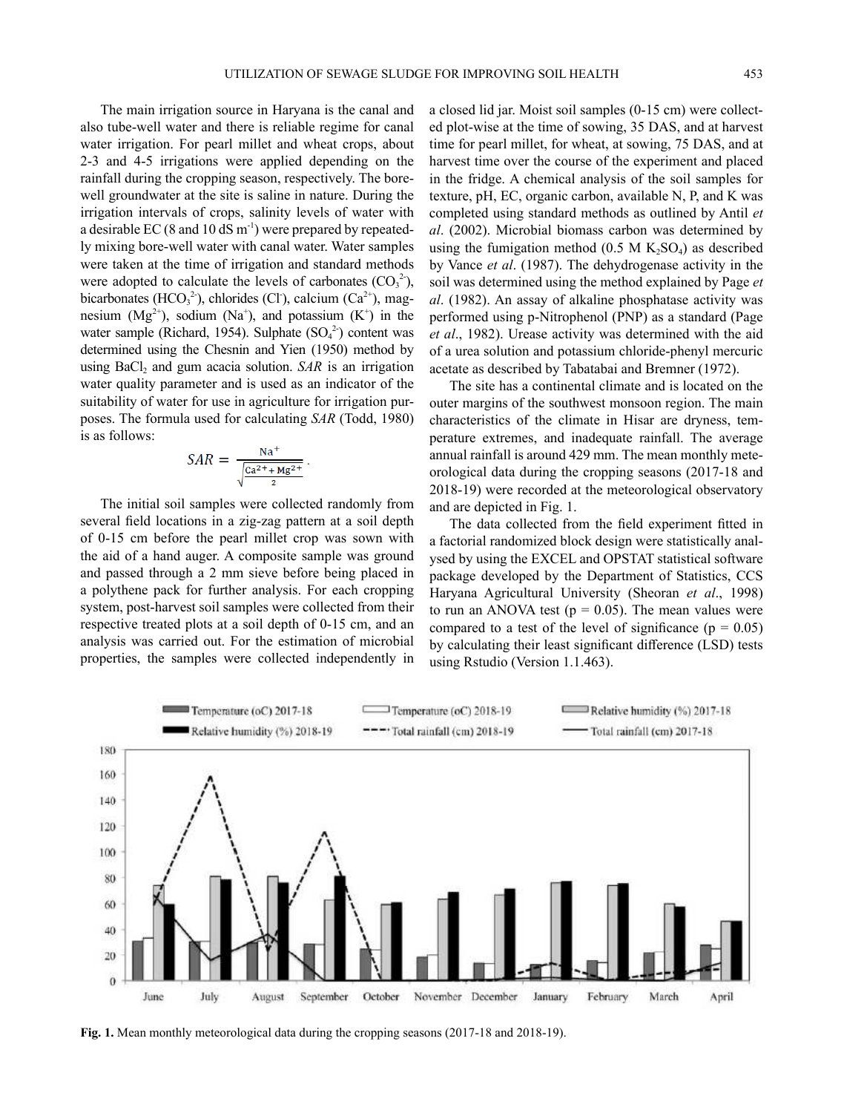The main irrigation source in Haryana is the canal and also tube-well water and there is reliable regime for canal water irrigation. For pearl millet and wheat crops, about 2-3 and 4-5 irrigations were applied depending on the rainfall during the cropping season, respectively. The borewell groundwater at the site is saline in nature. During the irrigation intervals of crops, salinity levels of water with a desirable EC (8 and 10 dS  $m^{-1}$ ) were prepared by repeatedly mixing bore-well water with canal water. Water samples were taken at the time of irrigation and standard methods were adopted to calculate the levels of carbonates  $(CO_3^2)$ , bicarbonates ( $HCO<sub>3</sub><sup>2</sup>$ ), chlorides (Cl), calcium (Ca<sup>2+</sup>), magnesium  $(Mg^{2+})$ , sodium  $(Na^{+})$ , and potassium  $(K^{+})$  in the water sample (Richard, 1954). Sulphate  $(SO<sub>4</sub><sup>2</sup>)$  content was determined using the Chesnin and Yien (1950) method by using  $BaCl<sub>2</sub>$  and gum acacia solution. *SAR* is an irrigation water quality parameter and is used as an indicator of the suitability of water for use in agriculture for irrigation purposes. The formula used for calculating *SAR* (Todd, 1980) is as follows:

$$
SAR = \frac{\text{Na}^+}{\sqrt{\frac{\text{Ca}^2 + \text{Mg}^2}{2}}}
$$

The initial soil samples were collected randomly from several field locations in a zig-zag pattern at a soil depth of 0-15 cm before the pearl millet crop was sown with the aid of a hand auger. A composite sample was ground and passed through a 2 mm sieve before being placed in a polythene pack for further analysis. For each cropping system, post-harvest soil samples were collected from their respective treated plots at a soil depth of 0-15 cm, and an analysis was carried out. For the estimation of microbial properties, the samples were collected independently in a closed lid jar. Moist soil samples (0-15 cm) were collected plot-wise at the time of sowing, 35 DAS, and at harvest time for pearl millet, for wheat, at sowing, 75 DAS, and at harvest time over the course of the experiment and placed in the fridge. A chemical analysis of the soil samples for texture, pH, EC, organic carbon, available N, P, and K was completed using standard methods as outlined by Antil *et al*. (2002). Microbial biomass carbon was determined by using the fumigation method  $(0.5 M K<sub>2</sub>SO<sub>4</sub>)$  as described by Vance *et al*. (1987). The dehydrogenase activity in the soil was determined using the method explained by Page *et al*. (1982). An assay of alkaline phosphatase activity was performed using p-Nitrophenol (PNP) as a standard (Page *et al*., 1982). Urease activity was determined with the aid of a urea solution and potassium chloride-phenyl mercuric acetate as described by Tabatabai and Bremner (1972).

The site has a continental climate and is located on the outer margins of the southwest monsoon region. The main characteristics of the climate in Hisar are dryness, temperature extremes, and inadequate rainfall. The average annual rainfall is around 429 mm. The mean monthly meteorological data during the cropping seasons (2017-18 and 2018-19) were recorded at the meteorological observatory and are depicted in Fig. 1.

The data collected from the field experiment fitted in a factorial randomized block design were statistically analysed by using the EXCEL and OPSTAT statistical software package developed by the Department of Statistics, CCS Haryana Agricultural University (Sheoran *et al*., 1998) to run an ANOVA test ( $p = 0.05$ ). The mean values were compared to a test of the level of significance ( $p = 0.05$ ) by calculating their least significant difference (LSD) tests using Rstudio (Version 1.1.463).



Fig. 1. Mean monthly meteorological data during the cropping seasons (2017-18 and 2018-19).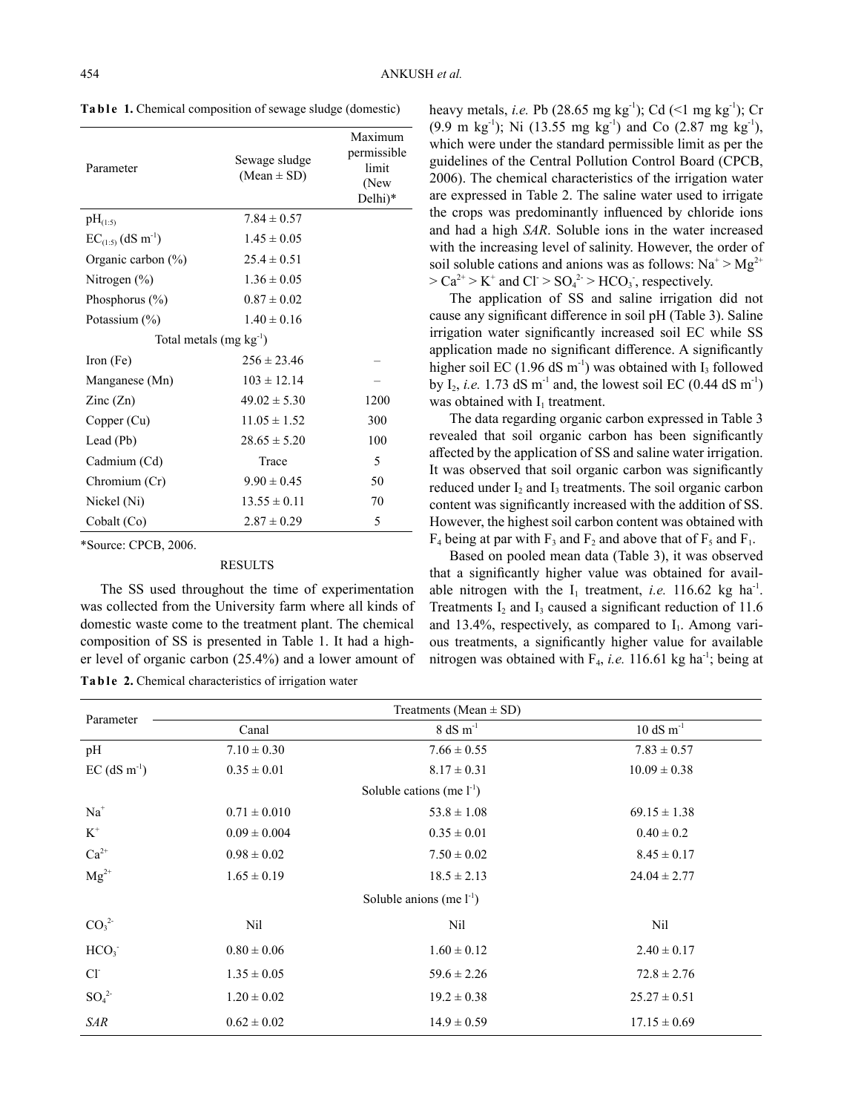| Parameter                          | Sewage sludge<br>$(Mean \pm SD)$ | Maximum<br>permissible<br>limit<br>(New<br>Delhi)* |  |  |  |  |
|------------------------------------|----------------------------------|----------------------------------------------------|--|--|--|--|
| $pH_{(1:5)}$                       | $7.84 \pm 0.57$                  |                                                    |  |  |  |  |
| $EC_{(1:5)}$ (dS m <sup>-1</sup> ) | $1.45 \pm 0.05$                  |                                                    |  |  |  |  |
| Organic carbon $(\%)$              | $25.4 \pm 0.51$                  |                                                    |  |  |  |  |
| Nitrogen $(\% )$                   | $1.36 \pm 0.05$                  |                                                    |  |  |  |  |
| Phosphorus $(\% )$                 | $0.87 \pm 0.02$                  |                                                    |  |  |  |  |
| Potassium $(\% )$                  | $1.40 \pm 0.16$                  |                                                    |  |  |  |  |
| Total metals $(mg kg^{-1})$        |                                  |                                                    |  |  |  |  |
| Iron (Fe)                          | $256 \pm 23.46$                  |                                                    |  |  |  |  |
| Manganese (Mn)                     | $103 \pm 12.14$                  |                                                    |  |  |  |  |
| $\text{Zinc}(\text{Zn})$           | $49.02 \pm 5.30$                 | 1200                                               |  |  |  |  |
| Copper (Cu)                        | $11.05 \pm 1.52$                 | 300                                                |  |  |  |  |
| Lead (Pb)                          | $28.65 \pm 5.20$                 | 100                                                |  |  |  |  |
| Cadmium (Cd)                       | Trace                            | 5                                                  |  |  |  |  |
| Chromium (Cr)                      | $9.90 \pm 0.45$                  | 50                                                 |  |  |  |  |
| Nickel (Ni)                        | $13.55 \pm 0.11$                 | 70                                                 |  |  |  |  |
| Cobalt (Co)                        | $2.87 \pm 0.29$                  | 5                                                  |  |  |  |  |

Ta ble 1. Chemical composition of sewage sludge (domestic)

\*Source: CPCB, 2006.

### RESULTS

The SS used throughout the time of experimentation was collected from the University farm where all kinds of domestic waste come to the treatment plant. The chemical composition of SS is presented in Table 1. It had a higher level of organic carbon (25.4%) and a lower amount of

Ta b l e 2. Chemical characteristics of irrigation water

heavy metals, *i.e.* Pb (28.65 mg kg<sup>-1</sup>); Cd (<1 mg kg<sup>-1</sup>); Cr (9.9 m kg<sup>-1</sup>); Ni (13.55 mg kg<sup>-1</sup>) and Co (2.87 mg kg<sup>-1</sup>), which were under the standard permissible limit as per the guidelines of the Central Pollution Control Board (CPCB, 2006). The chemical characteristics of the irrigation water are expressed in Table 2. The saline water used to irrigate the crops was predominantly influenced by chloride ions and had a high *SAR*. Soluble ions in the water increased with the increasing level of salinity. However, the order of soil soluble cations and anions was as follows:  $Na^+ > Mg^{2+}$  $> Ca^{2+} > K^+$  and Cl  $> SO_4^2 > HCO_3$ , respectively.

The application of SS and saline irrigation did not cause any significant difference in soil pH (Table 3). Saline irrigation water significantly increased soil EC while SS application made no significant difference. A significantly higher soil EC  $(1.96 \text{ dS m}^{-1})$  was obtained with I<sub>3</sub> followed by  $I_2$ , *i.e.* 1.73 dS m<sup>-1</sup> and, the lowest soil EC (0.44 dS m<sup>-1</sup>) was obtained with  $I_1$  treatment.

The data regarding organic carbon expressed in Table 3 revealed that soil organic carbon has been significantly affected by the application of SS and saline water irrigation. It was observed that soil organic carbon was significantly reduced under  $I_2$  and  $I_3$  treatments. The soil organic carbon content was significantly increased with the addition of SS. However, the highest soil carbon content was obtained with  $F_4$  being at par with  $F_3$  and  $F_2$  and above that of  $F_5$  and  $F_1$ .

Based on pooled mean data (Table 3), it was observed that a significantly higher value was obtained for available nitrogen with the  $I_1$  treatment, *i.e.* 116.62 kg ha<sup>-1</sup>. Treatments  $I_2$  and  $I_3$  caused a significant reduction of 11.6 and 13.4%, respectively, as compared to  $I_1$ . Among various treatments, a significantly higher value for available nitrogen was obtained with  $F_4$ , *i.e.* 116.61 kg ha<sup>-1</sup>; being at

| Parameter                    |                  | Treatments (Mean $\pm$ SD)         |                                |  |
|------------------------------|------------------|------------------------------------|--------------------------------|--|
|                              | Canal            | $8 dS m^{-1}$                      | $10 \text{ dS} \text{ m}^{-1}$ |  |
| pH                           | $7.10 \pm 0.30$  | $7.66 \pm 0.55$                    | $7.83 \pm 0.57$                |  |
| $EC$ (dS m <sup>-1</sup> )   | $0.35 \pm 0.01$  | $8.17 \pm 0.31$                    | $10.09 \pm 0.38$               |  |
|                              |                  | Soluble cations (me $l^{-1}$ )     |                                |  |
| $Na+$                        | $0.71 \pm 0.010$ | $53.8 \pm 1.08$                    | $69.15 \pm 1.38$               |  |
| $\rm K^+$                    | $0.09 \pm 0.004$ | $0.35 \pm 0.01$                    | $0.40 \pm 0.2$                 |  |
| $Ca^{2+}$                    | $0.98 \pm 0.02$  | $7.50 \pm 0.02$                    | $8.45 \pm 0.17$                |  |
| $Mg^{2+}$                    | $1.65 \pm 0.19$  | $18.5 \pm 2.13$                    | $24.04 \pm 2.77$               |  |
|                              |                  | Soluble anions (me $l^{-1}$ )      |                                |  |
| CO <sub>3</sub> <sup>2</sup> | Nil              | Nil                                | Nil                            |  |
| HCO <sub>3</sub>             | $0.80 \pm 0.06$  | $1.60 \pm 0.12$                    | $2.40 \pm 0.17$                |  |
| Cl <sup>2</sup>              | $1.35 \pm 0.05$  | $59.6 \pm 2.26$<br>$72.8 \pm 2.76$ |                                |  |
| SO <sub>4</sub> <sup>2</sup> | $1.20 \pm 0.02$  | $19.2 \pm 0.38$                    | $25.27 \pm 0.51$               |  |
| SAR                          | $0.62 \pm 0.02$  | $14.9 \pm 0.59$                    | $17.15 \pm 0.69$               |  |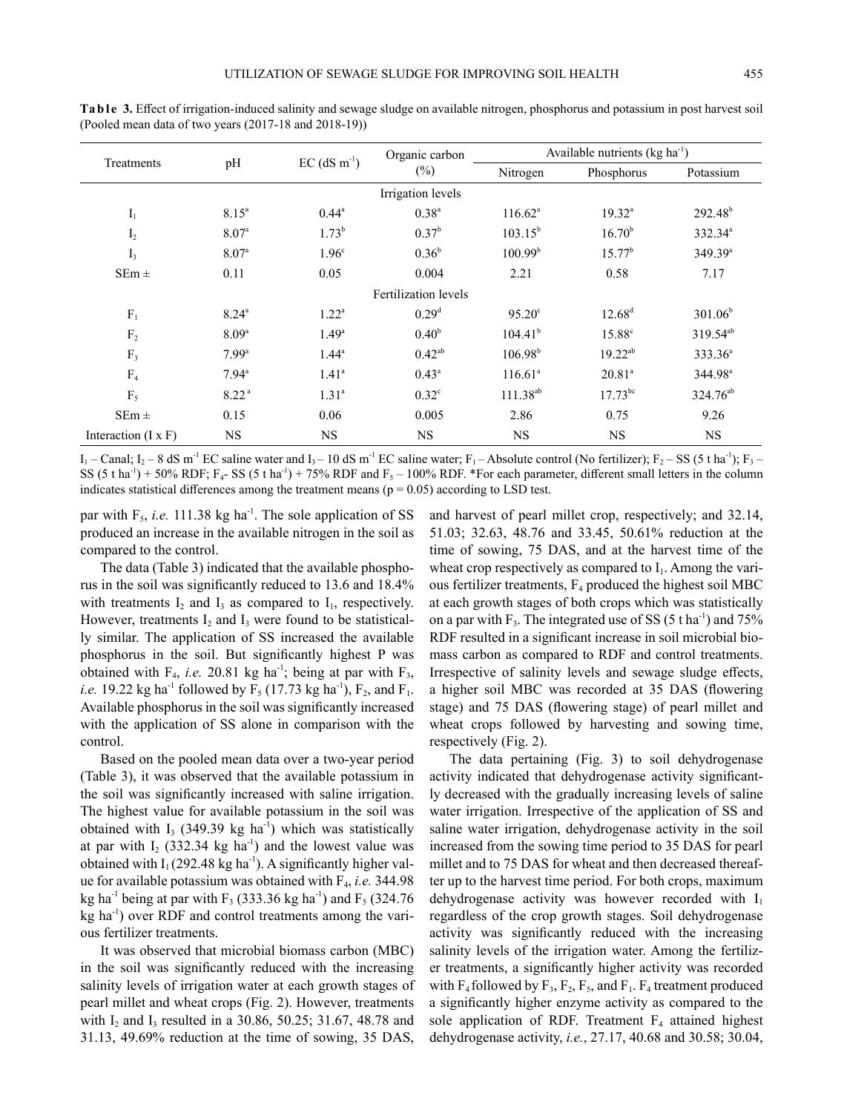| pH<br>Treatments           |                   |                            | Organic carbon<br>$(\%)$    | Available nutrients $(kg ha-1)$ |                    |                      |
|----------------------------|-------------------|----------------------------|-----------------------------|---------------------------------|--------------------|----------------------|
|                            |                   | $EC$ (dS m <sup>-1</sup> ) |                             | Nitrogen                        | Phosphorus         | Potassium            |
|                            |                   |                            | Irrigation levels           |                                 |                    |                      |
| $\mathbf{I}_1$             | 8.15 <sup>a</sup> | $0.44^{\circ}$             | $0.38^{a}$                  | $116.62^a$                      | $19.32^{\text{a}}$ | $292.48^b$           |
| $I_2$                      | 8.07 <sup>a</sup> | $1.73^{b}$                 | 0.37 <sup>b</sup>           | $103.15^{b}$                    | 16.70 <sup>b</sup> | $332.34^{\circ}$     |
| $I_3$                      | 8.07 <sup>a</sup> | 1.96 <sup>c</sup>          | $0.36^{b}$                  | 100.99 <sup>b</sup>             | $15.77^b$          | 349.39 <sup>a</sup>  |
| $SEm \pm$                  | 0.11              | 0.05                       | 0.004                       | 2.21                            | 0.58               | 7.17                 |
|                            |                   |                            | <b>Fertilization</b> levels |                                 |                    |                      |
| $F_1$                      | $8.24^{\circ}$    | $1.22^{\rm a}$             | 0.29 <sup>d</sup>           | $95.20^{\circ}$                 | $12.68^{d}$        | $301.06^{\rm b}$     |
| $\rm F_2$                  | 8.09 <sup>a</sup> | $1.49^{\rm a}$             | 0.40 <sup>b</sup>           | $104.41^{b}$                    | $15.88^{\circ}$    | $319.54^{ab}$        |
| F <sub>3</sub>             | 7.99 <sup>a</sup> | $1.44^{\circ}$             | $0.42^{ab}$                 | $106.98^{b}$                    | $19.22^{ab}$       | $333.36^{\circ}$     |
| F <sub>4</sub>             | $7.94^{\rm a}$    | $1.41^{\circ}$             | $0.43^{\circ}$              | $116.61^{\circ}$                | $20.81^{\circ}$    | 344.98 <sup>a</sup>  |
| $F_5$                      | 8.22 <sup>a</sup> | $1.31^{\circ}$             | $0.32^{\circ}$              | $111.38^{ab}$                   | $17.73^{bc}$       | 324.76 <sup>ab</sup> |
| $SEm \pm$                  | 0.15              | 0.06                       | 0.005                       | 2.86                            | 0.75               | 9.26                 |
| Interaction $(I \times F)$ | <b>NS</b>         | <b>NS</b>                  | <b>NS</b>                   | <b>NS</b>                       | <b>NS</b>          | <b>NS</b>            |

Ta b l e 3. Effect of irrigation-induced salinity and sewage sludge on available nitrogen, phosphorus and potassium in post harvest soil (Pooled mean data of two years (2017-18 and 2018-19))

 $I_1$  – Canal;  $I_2$  – 8 dS m<sup>-1</sup> EC saline water and  $I_3$  – 10 dS m<sup>-1</sup> EC saline water;  $F_1$  – Absolute control (No fertilizer);  $F_2$  – SS (5 t ha<sup>-1</sup>);  $F_3$  – SS (5 t ha<sup>-1</sup>) + 50% RDF;  $F_4$ - SS (5 t ha<sup>-1</sup>) + 75% RDF and  $F_5$  – 100% RDF. \*For each parameter, different small letters in the column indicates statistical differences among the treatment means ( $p = 0.05$ ) according to LSD test.

par with  $F_5$ , *i.e.* 111.38 kg ha<sup>-1</sup>. The sole application of SS produced an increase in the available nitrogen in the soil as compared to the control.

The data (Table 3) indicated that the available phosphorus in the soil was significantly reduced to 13.6 and 18.4% with treatments  $I_2$  and  $I_3$  as compared to  $I_1$ , respectively. However, treatments  $I_2$  and  $I_3$  were found to be statistically similar. The application of SS increased the available phosphorus in the soil. But significantly highest P was obtained with  $F_4$ , *i.e.* 20.81 kg ha<sup>-1</sup>; being at par with  $F_3$ , *i.e.* 19.22 kg ha<sup>-1</sup> followed by  $F_5$  (17.73 kg ha<sup>-1</sup>),  $F_2$ , and  $F_1$ . Available phosphorus in the soil was significantly increased with the application of SS alone in comparison with the control.

Based on the pooled mean data over a two-year period (Table 3), it was observed that the available potassium in the soil was significantly increased with saline irrigation. The highest value for available potassium in the soil was obtained with  $I_3$  (349.39 kg ha<sup>-1</sup>) which was statistically at par with  $I_2$  (332.34 kg ha<sup>-1</sup>) and the lowest value was obtained with  $I_1$  (292.48 kg ha<sup>-1</sup>). A significantly higher value for available potassium was obtained with F<sup>4</sup> , *i.e.* 344.98 kg ha<sup>-1</sup> being at par with  $F_3$  (333.36 kg ha<sup>-1</sup>) and  $F_5$  (324.76  $kg$  ha<sup>-1</sup>) over RDF and control treatments among the various fertilizer treatments.

It was observed that microbial biomass carbon (MBC) in the soil was significantly reduced with the increasing salinity levels of irrigation water at each growth stages of pearl millet and wheat crops (Fig. 2). However, treatments with  $I_2$  and  $I_3$  resulted in a 30.86, 50.25; 31.67, 48.78 and 31.13, 49.69% reduction at the time of sowing, 35 DAS,

and harvest of pearl millet crop, respectively; and 32.14, 51.03; 32.63, 48.76 and 33.45, 50.61% reduction at the time of sowing, 75 DAS, and at the harvest time of the wheat crop respectively as compared to  $I_1$ . Among the various fertilizer treatments,  $F_4$  produced the highest soil MBC at each growth stages of both crops which was statistically on a par with  $F_3$ . The integrated use of SS (5 t ha<sup>-1</sup>) and 75% RDF resulted in a significant increase in soil microbial biomass carbon as compared to RDF and control treatments. Irrespective of salinity levels and sewage sludge effects, a higher soil MBC was recorded at 35 DAS (flowering stage) and 75 DAS (flowering stage) of pearl millet and wheat crops followed by harvesting and sowing time, respectively (Fig. 2).

The data pertaining (Fig. 3) to soil dehydrogenase activity indicated that dehydrogenase activity significantly decreased with the gradually increasing levels of saline water irrigation. Irrespective of the application of SS and saline water irrigation, dehydrogenase activity in the soil increased from the sowing time period to 35 DAS for pearl millet and to 75 DAS for wheat and then decreased thereafter up to the harvest time period. For both crops, maximum dehydrogenase activity was however recorded with  $I_1$ regardless of the crop growth stages. Soil dehydrogenase activity was significantly reduced with the increasing salinity levels of the irrigation water. Among the fertilizer treatments, a significantly higher activity was recorded with  $F_4$  followed by  $F_3$ ,  $F_2$ ,  $F_5$ , and  $F_1$ .  $F_4$  treatment produced a significantly higher enzyme activity as compared to the sole application of RDF. Treatment  $F_4$  attained highest dehydrogenase activity, *i.e.*, 27.17, 40.68 and 30.58; 30.04,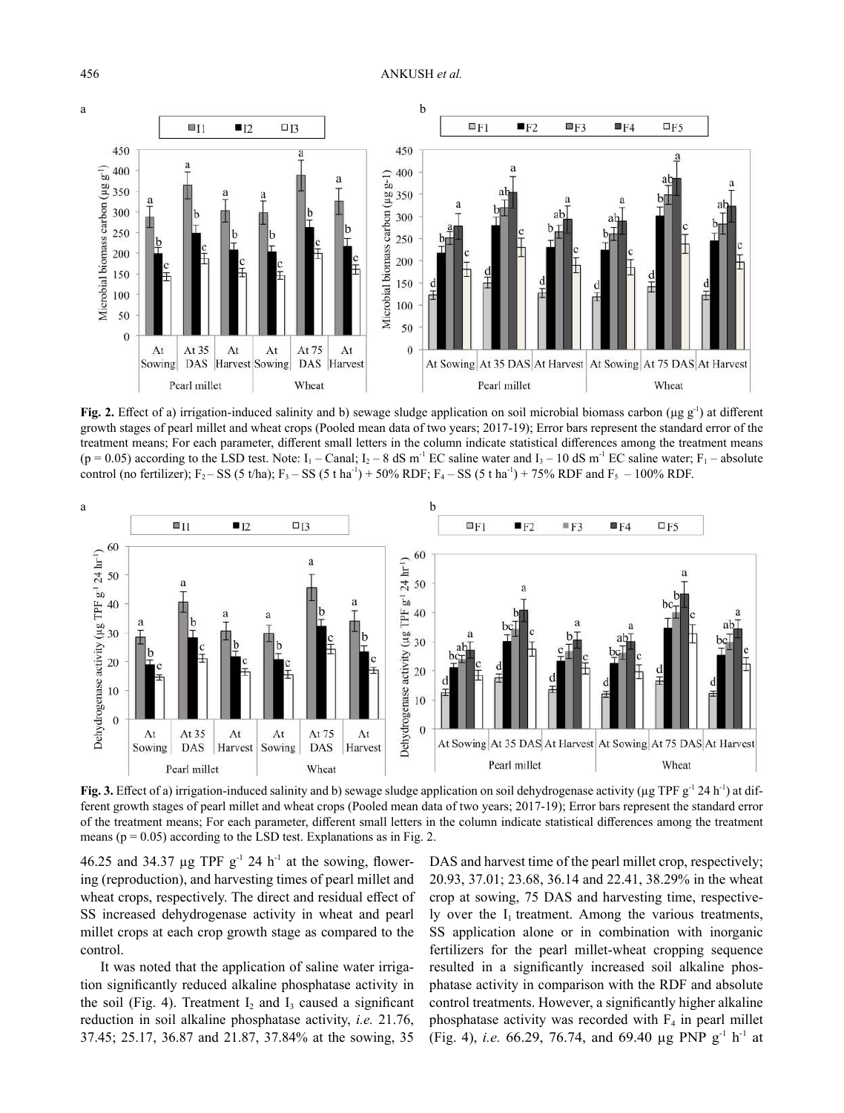

**Fig. 2.** Effect of a) irrigation-induced salinity and b) sewage sludge application on soil microbial biomass carbon ( $\mu$ g g<sup>-1</sup>) at different growth stages of pearl millet and wheat crops (Pooled mean data of two years; 2017-19); Error bars represent the standard error of the treatment means; For each parameter, different small letters in the column indicate statistical differences among the treatment means  $(p = 0.05)$  according to the LSD test. Note:  $I_1$  – Canal;  $I_2$  – 8 dS m<sup>-1</sup> EC saline water and  $I_3$  – 10 dS m<sup>-1</sup> EC saline water;  $F_1$  – absolute control (no fertilizer);  $F_2$  – SS (5 t/ha);  $F_3$  – SS (5 t/ha<sup>-1</sup>) + 50% RDF;  $F_4$  – SS (5 t/ha<sup>-1</sup>) + 75% RDF and  $F_5$  – 100% RDF.



**Fig. 3.** Effect of a) irrigation-induced salinity and b) sewage sludge application on soil dehydrogenase activity (µg TPF g<sup>-1</sup> 24 h<sup>-1</sup>) at different growth stages of pearl millet and wheat crops (Pooled mean data of two years; 2017-19); Error bars represent the standard error of the treatment means; For each parameter, different small letters in the column indicate statistical differences among the treatment means ( $p = 0.05$ ) according to the LSD test. Explanations as in Fig. 2.

46.25 and 34.37  $\mu$ g TPF g<sup>-1</sup> 24 h<sup>-1</sup> at the sowing, flowering (reproduction), and harvesting times of pearl millet and wheat crops, respectively. The direct and residual effect of SS increased dehydrogenase activity in wheat and pearl millet crops at each crop growth stage as compared to the control.

It was noted that the application of saline water irrigation significantly reduced alkaline phosphatase activity in the soil (Fig. 4). Treatment  $I_2$  and  $I_3$  caused a significant reduction in soil alkaline phosphatase activity, *i.e.* 21.76, 37.45; 25.17, 36.87 and 21.87, 37.84% at the sowing, 35

DAS and harvest time of the pearl millet crop, respectively; 20.93, 37.01; 23.68, 36.14 and 22.41, 38.29% in the wheat crop at sowing, 75 DAS and harvesting time, respectively over the  $I_1$  treatment. Among the various treatments, SS application alone or in combination with inorganic fertilizers for the pearl millet-wheat cropping sequence resulted in a significantly increased soil alkaline phosphatase activity in comparison with the RDF and absolute control treatments. However, a significantly higher alkaline phosphatase activity was recorded with  $F_4$  in pearl millet (Fig. 4), *i.e.* 66.29, 76.74, and 69.40 µg PNP g-1 h-1 at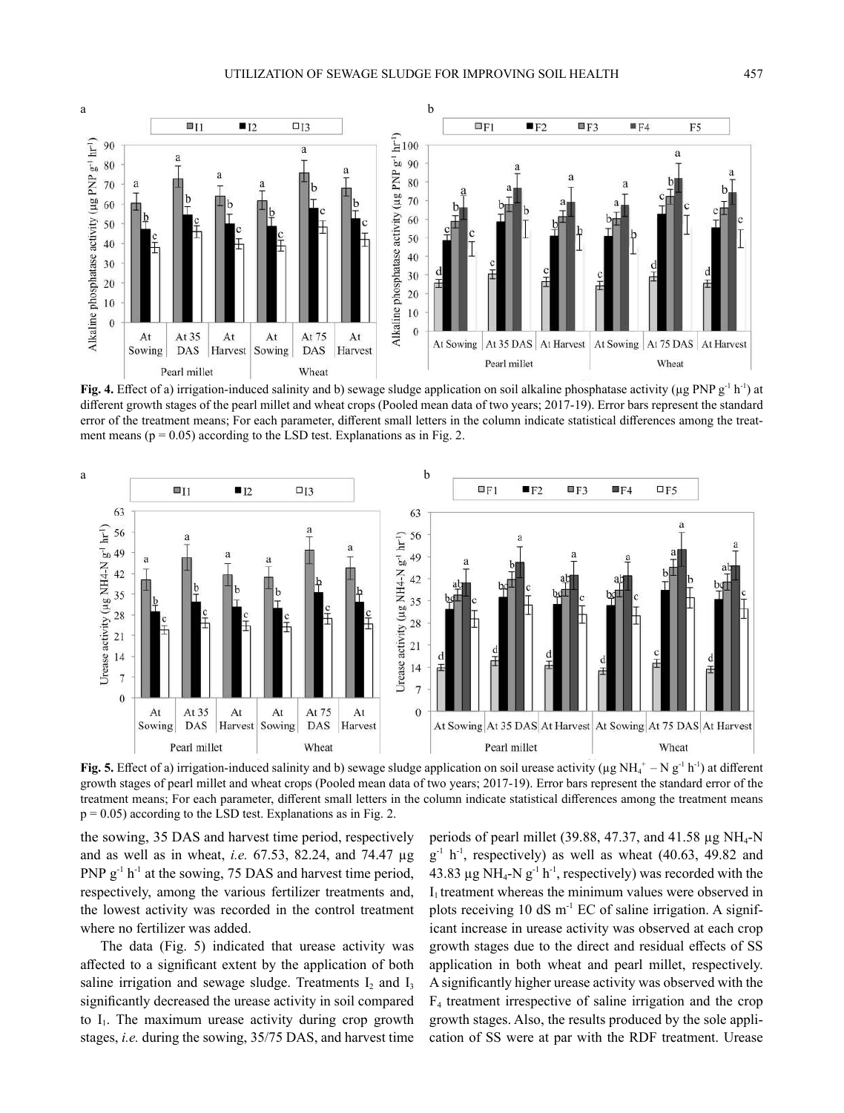

**Fig. 4.** Effect of a) irrigation-induced salinity and b) sewage sludge application on soil alkaline phosphatase activity (µg PNP g<sup>-1</sup> h<sup>-1</sup>) at different growth stages of the pearl millet and wheat crops (Pooled mean data of two years; 2017-19). Error bars represent the standard error of the treatment means; For each parameter, different small letters in the column indicate statistical differences among the treatment means ( $p = 0.05$ ) according to the LSD test. Explanations as in Fig. 2.



**Fig. 5.** Effect of a) irrigation-induced salinity and b) sewage sludge application on soil urease activity ( $\mu$ g NH<sub>4</sub><sup>+</sup> – N g<sup>-1</sup> h<sup>-1</sup>) at different growth stages of pearl millet and wheat crops (Pooled mean data of two years; 2017-19). Error bars represent the standard error of the treatment means; For each parameter, different small letters in the column indicate statistical differences among the treatment means  $p = 0.05$ ) according to the LSD test. Explanations as in Fig. 2.

the sowing, 35 DAS and harvest time period, respectively and as well as in wheat, *i.e.* 67.53, 82.24, and 74.47 µg PNP  $g^{-1}$  h<sup>-1</sup> at the sowing, 75 DAS and harvest time period, respectively, among the various fertilizer treatments and, the lowest activity was recorded in the control treatment where no fertilizer was added.

The data (Fig. 5) indicated that urease activity was affected to a significant extent by the application of both saline irrigation and sewage sludge. Treatments  $I_2$  and  $I_3$ significantly decreased the urease activity in soil compared to  $I_1$ . The maximum urease activity during crop growth stages, *i.e.* during the sowing, 35/75 DAS, and harvest time

periods of pearl millet (39.88, 47.37, and 41.58  $\mu$ g NH<sub>4</sub>-N  $g^{-1}$  h<sup>-1</sup>, respectively) as well as wheat (40.63, 49.82 and 43.83  $\mu$ g NH<sub>4</sub>-N g<sup>-1</sup> h<sup>-1</sup>, respectively) was recorded with the  $I_1$  treatment whereas the minimum values were observed in plots receiving 10 dS  $m^{-1}$  EC of saline irrigation. A significant increase in urease activity was observed at each crop growth stages due to the direct and residual effects of SS application in both wheat and pearl millet, respectively. A significantly higher urease activity was observed with the F4 treatment irrespective of saline irrigation and the crop growth stages. Also, the results produced by the sole application of SS were at par with the RDF treatment. Urease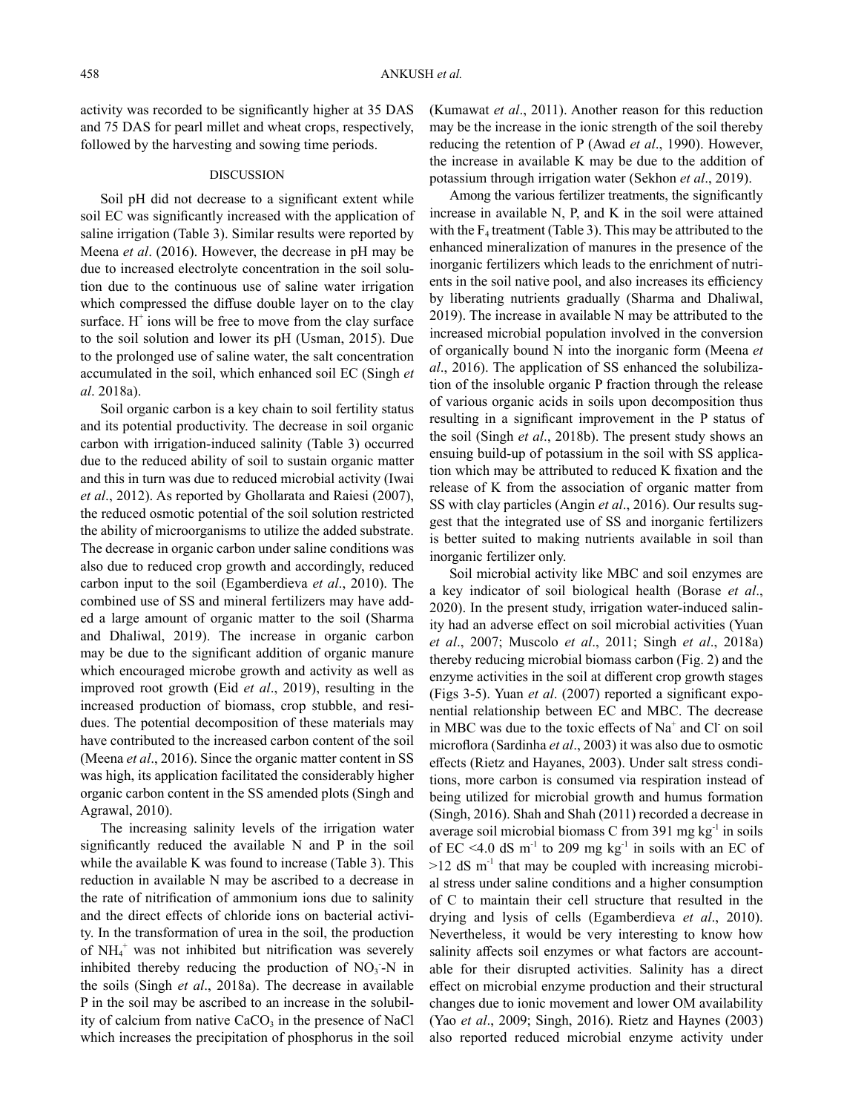activity was recorded to be significantly higher at 35 DAS and 75 DAS for pearl millet and wheat crops, respectively, followed by the harvesting and sowing time periods.

## DISCUSSION

Soil pH did not decrease to a significant extent while soil EC was significantly increased with the application of saline irrigation (Table 3). Similar results were reported by Meena *et al*. (2016). However, the decrease in pH may be due to increased electrolyte concentration in the soil solution due to the continuous use of saline water irrigation which compressed the diffuse double layer on to the clay surface.  $H^+$  ions will be free to move from the clay surface to the soil solution and lower its pH (Usman, 2015). Due to the prolonged use of saline water, the salt concentration accumulated in the soil, which enhanced soil EC (Singh *et al*. 2018a).

Soil organic carbon is a key chain to soil fertility status and its potential productivity. The decrease in soil organic carbon with irrigation-induced salinity (Table 3) occurred due to the reduced ability of soil to sustain organic matter and this in turn was due to reduced microbial activity (Iwai *et al*., 2012). As reported by Ghollarata and Raiesi (2007), the reduced osmotic potential of the soil solution restricted the ability of microorganisms to utilize the added substrate. The decrease in organic carbon under saline conditions was also due to reduced crop growth and accordingly, reduced carbon input to the soil (Egamberdieva *et al*., 2010). The combined use of SS and mineral fertilizers may have added a large amount of organic matter to the soil (Sharma and Dhaliwal, 2019). The increase in organic carbon may be due to the significant addition of organic manure which encouraged microbe growth and activity as well as improved root growth (Eid *et al*., 2019), resulting in the increased production of biomass, crop stubble, and residues. The potential decomposition of these materials may have contributed to the increased carbon content of the soil (Meena *et al*., 2016). Since the organic matter content in SS was high, its application facilitated the considerably higher organic carbon content in the SS amended plots (Singh and Agrawal, 2010).

The increasing salinity levels of the irrigation water significantly reduced the available N and P in the soil while the available K was found to increase (Table 3). This reduction in available N may be ascribed to a decrease in the rate of nitrification of ammonium ions due to salinity and the direct effects of chloride ions on bacterial activity. In the transformation of urea in the soil, the production of NH<sub>4</sub><sup>+</sup> was not inhibited but nitrification was severely inhibited thereby reducing the production of  $NO<sub>3</sub> - N$  in the soils (Singh *et al*., 2018a). The decrease in available P in the soil may be ascribed to an increase in the solubility of calcium from native  $CaCO<sub>3</sub>$  in the presence of NaCl which increases the precipitation of phosphorus in the soil

(Kumawat *et al*., 2011). Another reason for this reduction may be the increase in the ionic strength of the soil thereby reducing the retention of P (Awad *et al*., 1990). However, the increase in available K may be due to the addition of potassium through irrigation water (Sekhon *et al*., 2019).

Among the various fertilizer treatments, the significantly increase in available N, P, and K in the soil were attained with the  $F_4$  treatment (Table 3). This may be attributed to the enhanced mineralization of manures in the presence of the inorganic fertilizers which leads to the enrichment of nutrients in the soil native pool, and also increases its efficiency by liberating nutrients gradually (Sharma and Dhaliwal, 2019). The increase in available N may be attributed to the increased microbial population involved in the conversion of organically bound N into the inorganic form (Meena *et al*., 2016). The application of SS enhanced the solubilization of the insoluble organic P fraction through the release of various organic acids in soils upon decomposition thus resulting in a significant improvement in the P status of the soil (Singh *et al*., 2018b). The present study shows an ensuing build-up of potassium in the soil with SS application which may be attributed to reduced K fixation and the release of K from the association of organic matter from SS with clay particles (Angin *et al*., 2016). Our results suggest that the integrated use of SS and inorganic fertilizers is better suited to making nutrients available in soil than inorganic fertilizer only.

Soil microbial activity like MBC and soil enzymes are a key indicator of soil biological health (Borase *et al*., 2020). In the present study, irrigation water-induced salinity had an adverse effect on soil microbial activities (Yuan *et al*., 2007; Muscolo *et al*., 2011; Singh *et al*., 2018a) thereby reducing microbial biomass carbon (Fig. 2) and the enzyme activities in the soil at different crop growth stages (Figs 3-5). Yuan *et al*. (2007) reported a significant exponential relationship between EC and MBC. The decrease in MBC was due to the toxic effects of  $Na<sup>+</sup>$  and Cl on soil microflora (Sardinha *et al*., 2003) it was also due to osmotic effects (Rietz and Hayanes, 2003). Under salt stress conditions, more carbon is consumed via respiration instead of being utilized for microbial growth and humus formation (Singh, 2016). Shah and Shah (2011) recorded a decrease in average soil microbial biomass C from  $391 \text{ mg kg}^{-1}$  in soils of EC <4.0 dS  $m^{-1}$  to 209 mg kg<sup>-1</sup> in soils with an EC of  $>12$  dS m<sup>-1</sup> that may be coupled with increasing microbial stress under saline conditions and a higher consumption of C to maintain their cell structure that resulted in the drying and lysis of cells (Egamberdieva *et al*., 2010). Nevertheless, it would be very interesting to know how salinity affects soil enzymes or what factors are accountable for their disrupted activities. Salinity has a direct effect on microbial enzyme production and their structural changes due to ionic movement and lower OM availability (Yao *et al*., 2009; Singh, 2016). Rietz and Haynes (2003) also reported reduced microbial enzyme activity under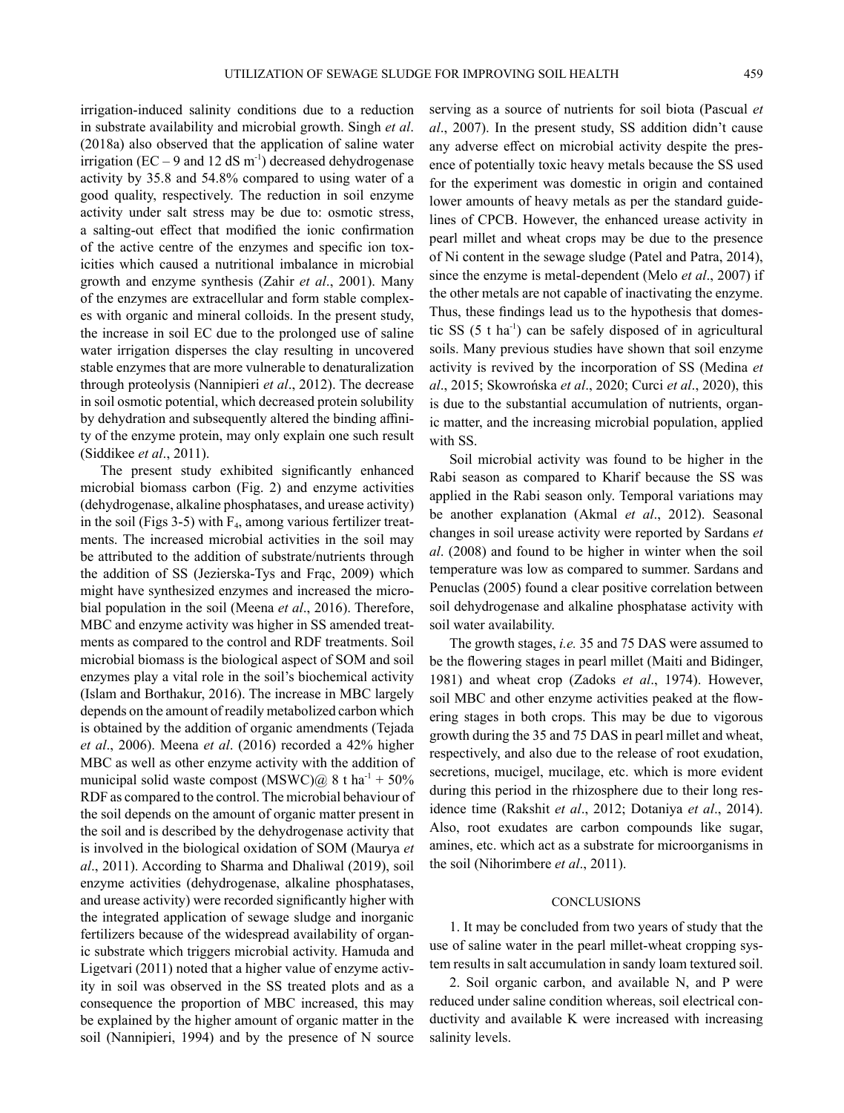irrigation-induced salinity conditions due to a reduction in substrate availability and microbial growth. Singh *et al*. (2018a) also observed that the application of saline water irrigation (EC – 9 and 12 dS  $m^{-1}$ ) decreased dehydrogenase activity by 35.8 and 54.8% compared to using water of a good quality, respectively. The reduction in soil enzyme activity under salt stress may be due to: osmotic stress, a salting-out effect that modified the ionic confirmation of the active centre of the enzymes and specific ion toxicities which caused a nutritional imbalance in microbial growth and enzyme synthesis (Zahir *et al*., 2001). Many of the enzymes are extracellular and form stable complexes with organic and mineral colloids. In the present study, the increase in soil EC due to the prolonged use of saline water irrigation disperses the clay resulting in uncovered stable enzymes that are more vulnerable to denaturalization through proteolysis (Nannipieri *et al*., 2012). The decrease

in soil osmotic potential, which decreased protein solubility by dehydration and subsequently altered the binding affinity of the enzyme protein, may only explain one such result (Siddikee *et al*., 2011). The present study exhibited significantly enhanced

microbial biomass carbon (Fig. 2) and enzyme activities (dehydrogenase, alkaline phosphatases, and urease activity) in the soil (Figs 3-5) with  $\mathrm{F_{4},}$  among various fertilizer treatments. The increased microbial activities in the soil may be attributed to the addition of substrate/nutrients through the addition of SS (Jezierska-Tys and Frąc, 2009) which might have synthesized enzymes and increased the microbial population in the soil (Meena *et al*., 2016). Therefore, MBC and enzyme activity was higher in SS amended treatments as compared to the control and RDF treatments. Soil microbial biomass is the biological aspect of SOM and soil enzymes play a vital role in the soil's biochemical activity (Islam and Borthakur, 2016). The increase in MBC largely depends on the amount of readily metabolized carbon which is obtained by the addition of organic amendments (Tejada *et al*., 2006). Meena *et al*. (2016) recorded a 42% higher MBC as well as other enzyme activity with the addition of municipal solid waste compost (MSWC) $@ 8 t \text{ ha}^{-1} + 50\%$ RDF as compared to the control. The microbial behaviour of the soil depends on the amount of organic matter present in the soil and is described by the dehydrogenase activity that is involved in the biological oxidation of SOM (Maurya *et al*., 2011). According to Sharma and Dhaliwal (2019), soil enzyme activities (dehydrogenase, alkaline phosphatases, and urease activity) were recorded significantly higher with the integrated application of sewage sludge and inorganic fertilizers because of the widespread availability of organic substrate which triggers microbial activity. Hamuda and Ligetvari (2011) noted that a higher value of enzyme activity in soil was observed in the SS treated plots and as a consequence the proportion of MBC increased, this may be explained by the higher amount of organic matter in the soil (Nannipieri, 1994) and by the presence of N source

serving as a source of nutrients for soil biota (Pascual *et al*., 2007). In the present study, SS addition didn't cause any adverse effect on microbial activity despite the presence of potentially toxic heavy metals because the SS used for the experiment was domestic in origin and contained lower amounts of heavy metals as per the standard guidelines of CPCB. However, the enhanced urease activity in pearl millet and wheat crops may be due to the presence of Ni content in the sewage sludge (Patel and Patra, 2014), since the enzyme is metal-dependent (Melo *et al*., 2007) if the other metals are not capable of inactivating the enzyme. Thus, these findings lead us to the hypothesis that domestic SS  $(5 \t{tha}^{-1})$  can be safely disposed of in agricultural soils. Many previous studies have shown that soil enzyme activity is revived by the incorporation of SS (Medina *et al*., 2015; Skowrońska *et al*., 2020; Curci *et al*., 2020), this is due to the substantial accumulation of nutrients, organic matter, and the increasing microbial population, applied with SS.

Soil microbial activity was found to be higher in the Rabi season as compared to Kharif because the SS was applied in the Rabi season only. Temporal variations may be another explanation (Akmal *et al*., 2012). Seasonal changes in soil urease activity were reported by Sardans *et al*. (2008) and found to be higher in winter when the soil temperature was low as compared to summer. Sardans and Penuclas (2005) found a clear positive correlation between soil dehydrogenase and alkaline phosphatase activity with soil water availability.

The growth stages, *i.e.* 35 and 75 DAS were assumed to be the flowering stages in pearl millet (Maiti and Bidinger, 1981) and wheat crop (Zadoks *et al*., 1974). However, soil MBC and other enzyme activities peaked at the flowering stages in both crops. This may be due to vigorous growth during the 35 and 75 DAS in pearl millet and wheat, respectively, and also due to the release of root exudation, secretions, mucigel, mucilage, etc. which is more evident during this period in the rhizosphere due to their long residence time (Rakshit *et al*., 2012; Dotaniya *et al*., 2014). Also, root exudates are carbon compounds like sugar, amines, etc. which act as a substrate for microorganisms in the soil (Nihorimbere *et al*., 2011).

## CONCLUSIONS

1. It may be concluded from two years of study that the use of saline water in the pearl millet-wheat cropping system results in salt accumulation in sandy loam textured soil.

2. Soil organic carbon, and available N, and P were reduced under saline condition whereas, soil electrical conductivity and available K were increased with increasing salinity levels.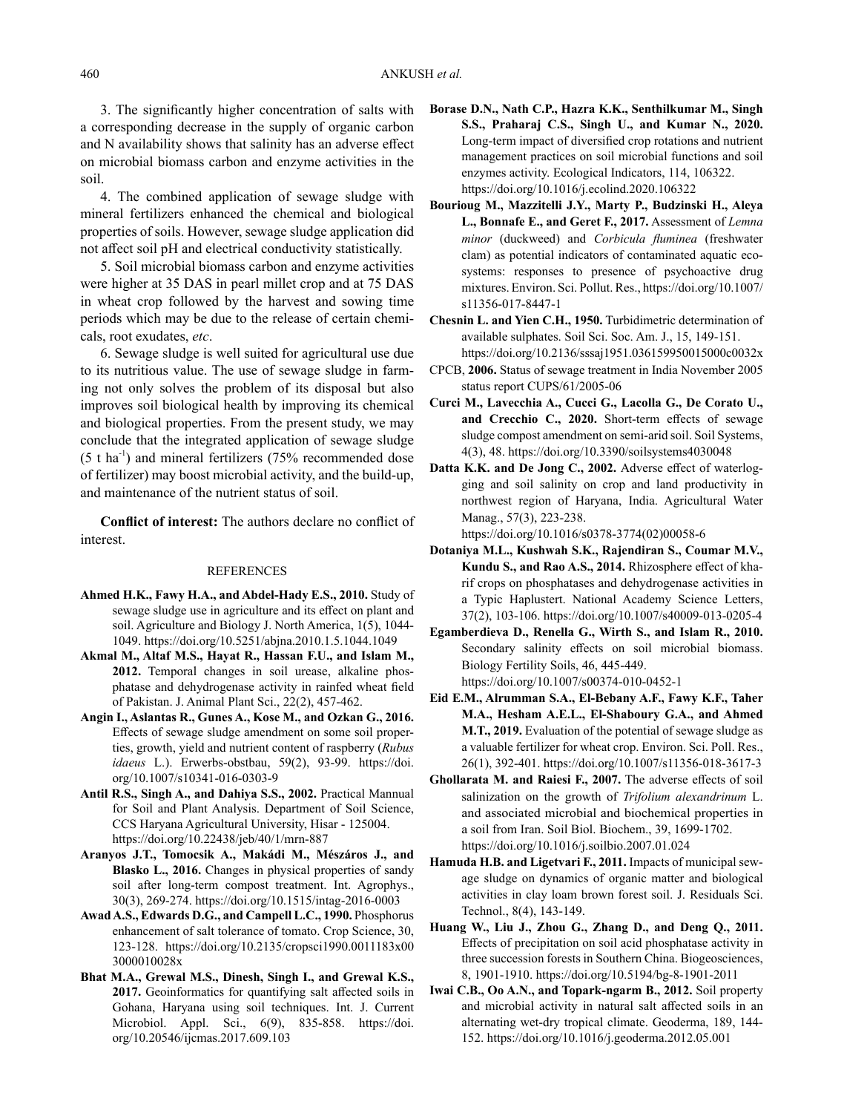3. The significantly higher concentration of salts with a corresponding decrease in the supply of organic carbon and N availability shows that salinity has an adverse effect on microbial biomass carbon and enzyme activities in the soil.

4. The combined application of sewage sludge with mineral fertilizers enhanced the chemical and biological properties of soils. However, sewage sludge application did not affect soil pH and electrical conductivity statistically.

5. Soil microbial biomass carbon and enzyme activities were higher at 35 DAS in pearl millet crop and at 75 DAS in wheat crop followed by the harvest and sowing time periods which may be due to the release of certain chemicals, root exudates, *etc*.

6. Sewage sludge is well suited for agricultural use due to its nutritious value. The use of sewage sludge in farming not only solves the problem of its disposal but also improves soil biological health by improving its chemical and biological properties. From the present study, we may conclude that the integrated application of sewage sludge  $(5 \t{ t} \text{ ha}^{-1})$  and mineral fertilizers (75% recommended dose of fertilizer) may boost microbial activity, and the build-up, and maintenance of the nutrient status of soil.

**Conflict of interest:** The authors declare no conflict of interest.

#### REFERENCES

- **Ahmed H.K., Fawy H.A., and Abdel-Hady E.S., 2010.** Study of sewage sludge use in agriculture and its effect on plant and soil. Agriculture and Biology J. North America, 1(5), 1044- 1049. https://doi.org/10.5251/abjna.2010.1.5.1044.1049
- **Akmal M., Altaf M.S., Hayat R., Hassan F.U., and Islam M., 2012.** Temporal changes in soil urease, alkaline phosphatase and dehydrogenase activity in rainfed wheat field of Pakistan. J. Animal Plant Sci., 22(2), 457-462.
- **Angin I., Aslantas R., Gunes A., Kose M., and Ozkan G., 2016.** Effects of sewage sludge amendment on some soil properties, growth, yield and nutrient content of raspberry (*Rubus idaeus* L.). Erwerbs-obstbau, 59(2), 93-99. https://doi. org/10.1007/s10341-016-0303-9
- **Antil R.S., Singh A., and Dahiya S.S., 2002.** Practical Mannual for Soil and Plant Analysis. Department of Soil Science, CCS Haryana Agricultural University, Hisar - 125004. https://doi.org/10.22438/jeb/40/1/mrn-887
- **Aranyos J.T., Tomocsik A., Makádi M., Mészáros J., and Blasko L., 2016.** Changes in physical properties of sandy soil after long-term compost treatment. Int. Agrophys., 30(3), 269-274. https://doi.org/10.1515/intag-2016-0003
- **Awad A.S., Edwards D.G., and Campell L.C., 1990.** Phosphorus enhancement of salt tolerance of tomato. Crop Science, 30, 123-128. https://doi.org/10.2135/cropsci1990.0011183x00 3000010028x
- **Bhat M.A., Grewal M.S., Dinesh, Singh I., and Grewal K.S., 2017.** Geoinformatics for quantifying salt affected soils in Gohana, Haryana using soil techniques. Int. J. Current Microbiol. Appl. Sci., 6(9), 835-858. https://doi. org/10.20546/ijcmas.2017.609.103
- **Borase D.N., Nath C.P., Hazra K.K., Senthilkumar M., Singh S.S., Praharaj C.S., Singh U., and Kumar N., 2020.** Long-term impact of diversified crop rotations and nutrient management practices on soil microbial functions and soil enzymes activity. Ecological Indicators, 114, 106322. https://doi.org/10.1016/j.ecolind.2020.106322
- **Bourioug M., Mazzitelli J.Y., Marty P., Budzinski H., Aleya L., Bonnafe E., and Geret F., 2017.** Assessment of *Lemna minor* (duckweed) and *Corbicula fluminea* (freshwater clam) as potential indicators of contaminated aquatic ecosystems: responses to presence of psychoactive drug mixtures. Environ. Sci. Pollut. Res., https://doi.org/10.1007/ s11356-017-8447-1
- **Chesnin L. and Yien C.H., 1950.** Turbidimetric determination of available sulphates. Soil Sci. Soc. Am. J., 15, 149-151. https://doi.org/10.2136/sssaj1951.036159950015000c0032x
- CPCB, **2006.** Status of sewage treatment in India November 2005 status report CUPS/61/2005-06
- **Curci M., Lavecchia A., Cucci G., Lacolla G., De Corato U., and Crecchio C., 2020.** Short-term effects of sewage sludge compost amendment on semi-arid soil. Soil Systems, 4(3), 48. https://doi.org/10.3390/soilsystems4030048
- **Datta K.K. and De Jong C., 2002.** Adverse effect of waterlogging and soil salinity on crop and land productivity in northwest region of Haryana, India. Agricultural Water Manag., 57(3), 223-238.

https://doi.org/10.1016/s0378-3774(02)00058-6

- **Dotaniya M.L., Kushwah S.K., Rajendiran S., Coumar M.V., Kundu S., and Rao A.S., 2014.** Rhizosphere effect of kharif crops on phosphatases and dehydrogenase activities in a Typic Haplustert. National Academy Science Letters, 37(2), 103-106. https://doi.org/10.1007/s40009-013-0205-4
- **Egamberdieva D., Renella G., Wirth S., and Islam R., 2010.** Secondary salinity effects on soil microbial biomass. Biology Fertility Soils, 46, 445-449. https://doi.org/10.1007/s00374-010-0452-1
- **Eid E.M., Alrumman S.A., El-Bebany A.F., Fawy K.F., Taher M.A., Hesham A.E.L., El-Shaboury G.A., and Ahmed M.T., 2019.** Evaluation of the potential of sewage sludge as a valuable fertilizer for wheat crop. Environ. Sci. Poll. Res., 26(1), 392-401. https://doi.org/10.1007/s11356-018-3617-3
- **Ghollarata M. and Raiesi F., 2007.** The adverse effects of soil salinization on the growth of *Trifolium alexandrinum* L. and associated microbial and biochemical properties in a soil from Iran. Soil Biol. Biochem., 39, 1699-1702. https://doi.org/10.1016/j.soilbio.2007.01.024
- **Hamuda H.B. and Ligetvari F., 2011.** Impacts of municipal sewage sludge on dynamics of organic matter and biological activities in clay loam brown forest soil. J. Residuals Sci. Technol., 8(4), 143-149.
- **Huang W., Liu J., Zhou G., Zhang D., and Deng Q., 2011.** Effects of precipitation on soil acid phosphatase activity in three succession forests in Southern China. Biogeosciences, 8, 1901-1910. https://doi.org/10.5194/bg-8-1901-2011
- **Iwai C.B., Oo A.N., and Topark-ngarm B., 2012.** Soil property and microbial activity in natural salt affected soils in an alternating wet-dry tropical climate. Geoderma, 189, 144- 152. https://doi.org/10.1016/j.geoderma.2012.05.001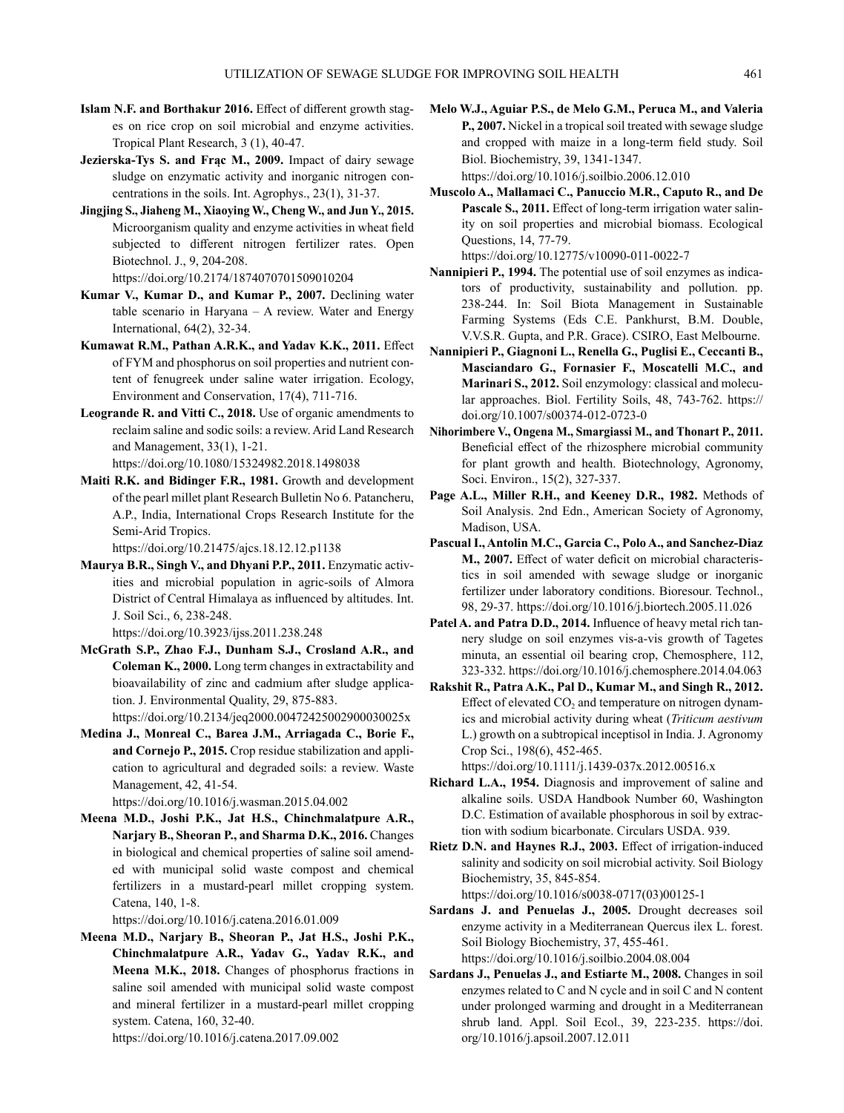- **Islam N.F. and Borthakur 2016.** Effect of different growth stages on rice crop on soil microbial and enzyme activities. Tropical Plant Research, 3 (1), 40-47.
- **Jezierska-Tys S. and Frąc M., 2009.** Impact of dairy sewage sludge on enzymatic activity and inorganic nitrogen concentrations in the soils. Int. Agrophys., 23(1), 31-37.
- **Jingjing S., Jiaheng M., Xiaoying W., Cheng W., and Jun Y., 2015.** Microorganism quality and enzyme activities in wheat field subjected to different nitrogen fertilizer rates. Open Biotechnol. J., 9, 204-208. https://doi.org/10.2174/1874070701509010204
- **Kumar V., Kumar D., and Kumar P., 2007.** Declining water table scenario in Haryana – A review. Water and Energy International, 64(2), 32-34.
- **Kumawat R.M., Pathan A.R.K., and Yadav K.K., 2011.** Effect of FYM and phosphorus on soil properties and nutrient content of fenugreek under saline water irrigation. Ecology, Environment and Conservation, 17(4), 711-716.
- **Leogrande R. and Vitti C., 2018.** Use of organic amendments to reclaim saline and sodic soils: a review. Arid Land Research and Management, 33(1), 1-21. https://doi.org/10.1080/15324982.2018.1498038
- **Maiti R.K. and Bidinger F.R., 1981.** Growth and development of the pearl millet plant Research Bulletin No 6. Patancheru, A.P., India, International Crops Research Institute for the Semi-Arid Tropics.

https://doi.org/10.21475/ajcs.18.12.12.p1138

**Maurya B.R., Singh V., and Dhyani P.P., 2011.** Enzymatic activities and microbial population in agric-soils of Almora District of Central Himalaya as influenced by altitudes. Int. J. Soil Sci., 6, 238-248.

https://doi.org/10.3923/ijss.2011.238.248

**McGrath S.P., Zhao F.J., Dunham S.J., Crosland A.R., and Coleman K., 2000.** Long term changes in extractability and bioavailability of zinc and cadmium after sludge application. J. Environmental Quality, 29, 875-883.

https://doi.org/10.2134/jeq2000.00472425002900030025x **Medina J., Monreal C., Barea J.M., Arriagada C., Borie F.,** 

**and Cornejo P., 2015.** Crop residue stabilization and application to agricultural and degraded soils: a review. Waste Management, 42, 41-54.

https://doi.org/10.1016/j.wasman.2015.04.002

**Meena M.D., Joshi P.K., Jat H.S., Chinchmalatpure A.R., Narjary B., Sheoran P., and Sharma D.K., 2016.** Changes in biological and chemical properties of saline soil amended with municipal solid waste compost and chemical fertilizers in a mustard-pearl millet cropping system. Catena, 140, 1-8.

https://doi.org/10.1016/j.catena.2016.01.009

**Meena M.D., Narjary B., Sheoran P., Jat H.S., Joshi P.K., Chinchmalatpure A.R., Yadav G., Yadav R.K., and Meena M.K., 2018.** Changes of phosphorus fractions in saline soil amended with municipal solid waste compost and mineral fertilizer in a mustard-pearl millet cropping system. Catena, 160, 32-40.

https://doi.org/10.1016/j.catena.2017.09.002

**Melo W.J., Aguiar P.S., de Melo G.M., Peruca M., and Valeria P., 2007.** Nickel in a tropical soil treated with sewage sludge and cropped with maize in a long-term field study. Soil Biol. Biochemistry, 39, 1341-1347.

https://doi.org/10.1016/j.soilbio.2006.12.010

**Muscolo A., Mallamaci C., Panuccio M.R., Caputo R., and De**  Pascale S., 2011. Effect of long-term irrigation water salinity on soil properties and microbial biomass. Ecological Questions, 14, 77-79.

https://doi.org/10.12775/v10090-011-0022-7

- **Nannipieri P., 1994.** The potential use of soil enzymes as indicators of productivity, sustainability and pollution. pp. 238-244. In: Soil Biota Management in Sustainable Farming Systems (Eds C.E. Pankhurst, B.M. Double, V.V.S.R. Gupta, and P.R. Grace). CSIRO, East Melbourne.
- **Nannipieri P., Giagnoni L., Renella G., Puglisi E., Ceccanti B., Masciandaro G., Fornasier F., Moscatelli M.C., and Marinari S., 2012.** Soil enzymology: classical and molecular approaches. Biol. Fertility Soils, 48, 743-762. https:// doi.org/10.1007/s00374-012-0723-0
- **Nihorimbere V., Ongena M., Smargiassi M., and Thonart P., 2011.** Beneficial effect of the rhizosphere microbial community for plant growth and health. Biotechnology, Agronomy, Soci. Environ., 15(2), 327-337.
- Page A.L., Miller R.H., and Keeney D.R., 1982. Methods of Soil Analysis. 2nd Edn., American Society of Agronomy, Madison, USA.
- **Pascual I., Antolin M.C., Garcia C., Polo A., and Sanchez-Diaz M., 2007.** Effect of water deficit on microbial characteristics in soil amended with sewage sludge or inorganic fertilizer under laboratory conditions. Bioresour. Technol., 98, 29-37. https://doi.org/10.1016/j.biortech.2005.11.026
- **Patel A. and Patra D.D., 2014.** Influence of heavy metal rich tannery sludge on soil enzymes vis-a-vis growth of Tagetes minuta, an essential oil bearing crop, Chemosphere, 112, 323-332. https://doi.org/10.1016/j.chemosphere.2014.04.063
- **Rakshit R., Patra A.K., Pal D., Kumar M., and Singh R., 2012.** Effect of elevated  $CO<sub>2</sub>$  and temperature on nitrogen dynamics and microbial activity during wheat (*Triticum aestivum* L.) growth on a subtropical inceptisol in India. J. Agronomy Crop Sci., 198(6), 452-465.

https://doi.org/10.1111/j.1439-037x.2012.00516.x

- **Richard L.A., 1954.** Diagnosis and improvement of saline and alkaline soils. USDA Handbook Number 60, Washington D.C. Estimation of available phosphorous in soil by extraction with sodium bicarbonate. Circulars USDA. 939.
- **Rietz D.N. and Haynes R.J., 2003.** Effect of irrigation-induced salinity and sodicity on soil microbial activity. Soil Biology Biochemistry, 35, 845-854. https://doi.org/10.1016/s0038-0717(03)00125-1
- **Sardans J. and Penuelas J., 2005.** Drought decreases soil enzyme activity in a Mediterranean Quercus ilex L. forest. Soil Biology Biochemistry, 37, 455-461. https://doi.org/10.1016/j.soilbio.2004.08.004
- **Sardans J., Penuelas J., and Estiarte M., 2008.** Changes in soil enzymes related to C and N cycle and in soil C and N content under prolonged warming and drought in a Mediterranean shrub land. Appl. Soil Ecol., 39, 223-235. https://doi. org/10.1016/j.apsoil.2007.12.011